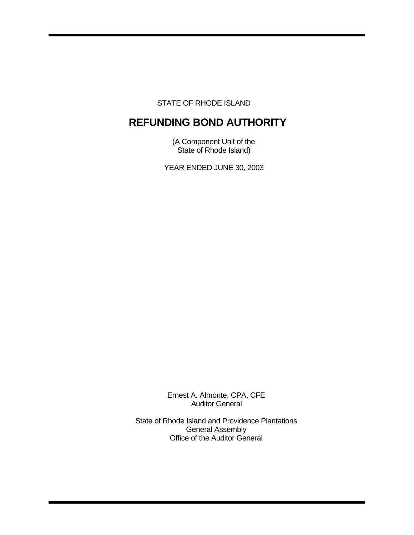STATE OF RHODE ISLAND

# **REFUNDING BOND AUTHORITY**

(A Component Unit of the State of Rhode Island)

YEAR ENDED JUNE 30, 2003

Ernest A. Almonte, CPA, CFE Auditor General

State of Rhode Island and Providence Plantations General Assembly Office of the Auditor General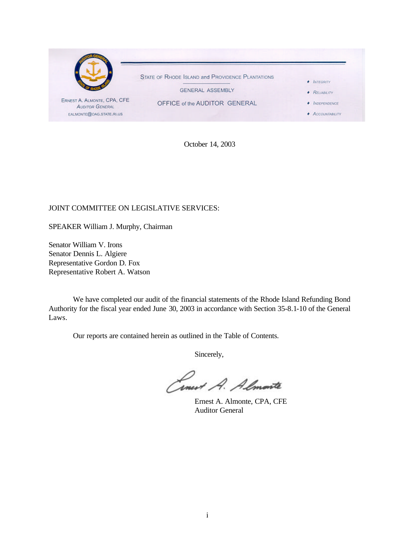

October 14, 2003

## JOINT COMMITTEE ON LEGISLATIVE SERVICES:

SPEAKER William J. Murphy, Chairman

Senator William V. Irons Senator Dennis L. Algiere Representative Gordon D. Fox Representative Robert A. Watson

We have completed our audit of the financial statements of the Rhode Island Refunding Bond Authority for the fiscal year ended June 30, 2003 in accordance with Section 35-8.1-10 of the General Laws.

Our reports are contained herein as outlined in the Table of Contents.

Sincerely,

Cinert A. Almonte

Ernest A. Almonte, CPA, CFE Auditor General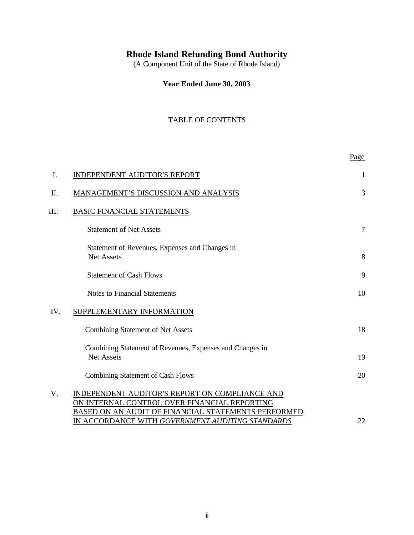# **Rhode Island Refunding Bond Authority**

(A Component Unit of the State of Rhode Island)

**Year Ended June 30, 2003**

## TABLE OF CONTENTS

|     |                                                                                                                                                       | Page           |
|-----|-------------------------------------------------------------------------------------------------------------------------------------------------------|----------------|
| I.  | <b>INDEPENDENT AUDITOR'S REPORT</b>                                                                                                                   | -1             |
| Π.  | MANAGEMENT'S DISCUSSION AND ANALYSIS                                                                                                                  | $\overline{3}$ |
| Ш.  | <b>BASIC FINANCIAL STATEMENTS</b>                                                                                                                     |                |
|     | <b>Statement of Net Assets</b>                                                                                                                        | 7              |
|     | Statement of Revenues, Expenses and Changes in<br><b>Net Assets</b>                                                                                   | 8              |
|     | <b>Statement of Cash Flows</b>                                                                                                                        | 9              |
|     | <b>Notes to Financial Statements</b>                                                                                                                  | 10             |
| IV. | SUPPLEMENTARY INFORMATION                                                                                                                             |                |
|     | Combining Statement of Net Assets                                                                                                                     | 18             |
|     | Combining Statement of Revenues, Expenses and Changes in<br><b>Net Assets</b>                                                                         | 19             |
|     | <b>Combining Statement of Cash Flows</b>                                                                                                              | 20             |
| V.  | INDEPENDENT AUDITOR'S REPORT ON COMPLIANCE AND<br>ON INTERNAL CONTROL OVER FINANCIAL REPORTING<br>BASED ON AN AUDIT OF FINANCIAL STATEMENTS PERFORMED |                |
|     | IN ACCORDANCE WITH GOVERNMENT AUDITING STANDARDS                                                                                                      | 22             |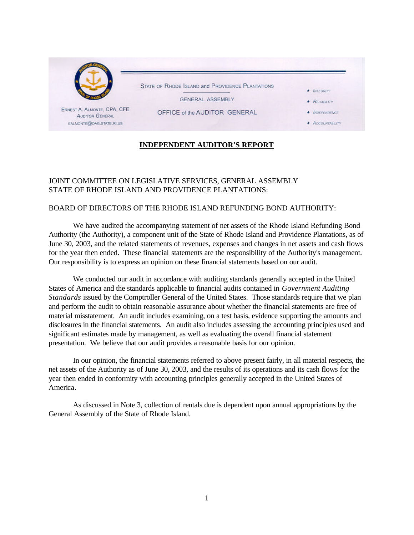

## **INDEPENDENT AUDITOR'S REPORT**

## JOINT COMMITTEE ON LEGISLATIVE SERVICES, GENERAL ASSEMBLY STATE OF RHODE ISLAND AND PROVIDENCE PLANTATIONS:

## BOARD OF DIRECTORS OF THE RHODE ISLAND REFUNDING BOND AUTHORITY:

We have audited the accompanying statement of net assets of the Rhode Island Refunding Bond Authority (the Authority), a component unit of the State of Rhode Island and Providence Plantations, as of June 30, 2003, and the related statements of revenues, expenses and changes in net assets and cash flows for the year then ended. These financial statements are the responsibility of the Authority's management. Our responsibility is to express an opinion on these financial statements based on our audit.

We conducted our audit in accordance with auditing standards generally accepted in the United States of America and the standards applicable to financial audits contained in *Government Auditing Standards* issued by the Comptroller General of the United States. Those standards require that we plan and perform the audit to obtain reasonable assurance about whether the financial statements are free of material misstatement. An audit includes examining, on a test basis, evidence supporting the amounts and disclosures in the financial statements. An audit also includes assessing the accounting principles used and significant estimates made by management, as well as evaluating the overall financial statement presentation. We believe that our audit provides a reasonable basis for our opinion.

In our opinion, the financial statements referred to above present fairly, in all material respects, the net assets of the Authority as of June 30, 2003, and the results of its operations and its cash flows for the year then ended in conformity with accounting principles generally accepted in the United States of America.

As discussed in Note 3, collection of rentals due is dependent upon annual appropriations by the General Assembly of the State of Rhode Island.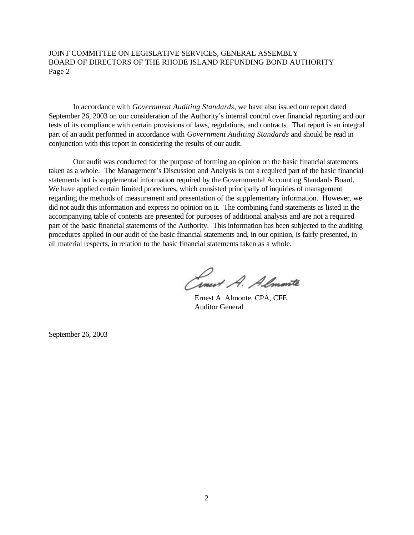JOINT COMMITTEE ON LEGISLATIVE SERVICES, GENERAL ASSEMBLY BOARD OF DIRECTORS OF THE RHODE ISLAND REFUNDING BOND AUTHORITY Page 2

In accordance with *Government Auditing Standards*, we have also issued our report dated September 26, 2003 on our consideration of the Authority's internal control over financial reporting and our tests of its compliance with certain provisions of laws, regulations, and contracts. That report is an integral part of an audit performed in accordance with *Government Auditing Standards* and should be read in conjunction with this report in considering the results of our audit.

Our audit was conducted for the purpose of forming an opinion on the basic financial statements taken as a whole. The Management's Discussion and Analysis is not a required part of the basic financial statements but is supplemental information required by the Governmental Accounting Standards Board. We have applied certain limited procedures, which consisted principally of inquiries of management regarding the methods of measurement and presentation of the supplementary information. However, we did not audit this information and express no opinion on it. The combining fund statements as listed in the accompanying table of contents are presented for purposes of additional analysis and are not a required part of the basic financial statements of the Authority. This information has been subjected to the auditing procedures applied in our audit of the basic financial statements and, in our opinion, is fairly presented, in all material respects, in relation to the basic financial statements taken as a whole.

Cinet A. Almonte

Ernest A. Almonte, CPA, CFE Auditor General

September 26, 2003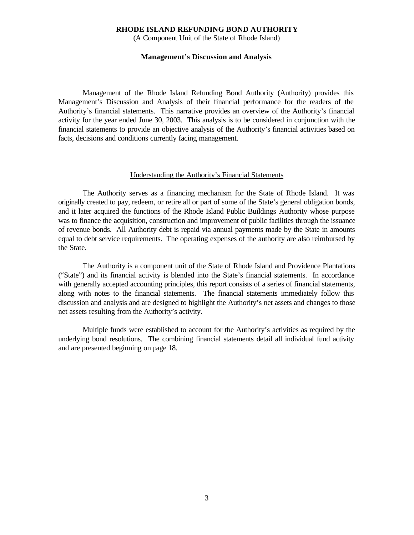(A Component Unit of the State of Rhode Island)

#### **Management's Discussion and Analysis**

Management of the Rhode Island Refunding Bond Authority (Authority) provides this Management's Discussion and Analysis of their financial performance for the readers of the Authority's financial statements. This narrative provides an overview of the Authority's financial activity for the year ended June 30, 2003. This analysis is to be considered in conjunction with the financial statements to provide an objective analysis of the Authority's financial activities based on facts, decisions and conditions currently facing management.

#### Understanding the Authority's Financial Statements

The Authority serves as a financing mechanism for the State of Rhode Island. It was originally created to pay, redeem, or retire all or part of some of the State's general obligation bonds, and it later acquired the functions of the Rhode Island Public Buildings Authority whose purpose was to finance the acquisition, construction and improvement of public facilities through the issuance of revenue bonds. All Authority debt is repaid via annual payments made by the State in amounts equal to debt service requirements. The operating expenses of the authority are also reimbursed by the State.

The Authority is a component unit of the State of Rhode Island and Providence Plantations ("State") and its financial activity is blended into the State's financial statements. In accordance with generally accepted accounting principles, this report consists of a series of financial statements, along with notes to the financial statements. The financial statements immediately follow this discussion and analysis and are designed to highlight the Authority's net assets and changes to those net assets resulting from the Authority's activity.

Multiple funds were established to account for the Authority's activities as required by the underlying bond resolutions. The combining financial statements detail all individual fund activity and are presented beginning on page 18.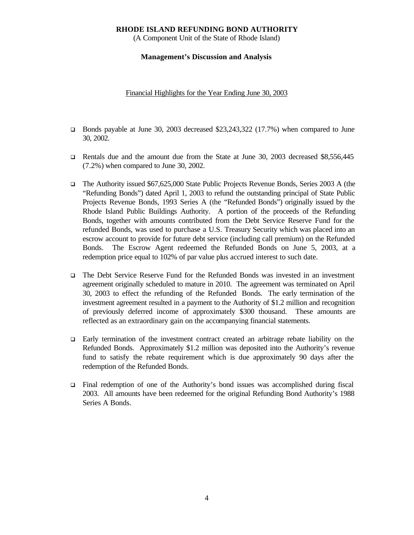(A Component Unit of the State of Rhode Island)

### **Management's Discussion and Analysis**

Financial Highlights for the Year Ending June 30, 2003

- D Bonds payable at June 30, 2003 decreased \$23,243,322 (17.7%) when compared to June 30, 2002.
- **Q** Rentals due and the amount due from the State at June 30, 2003 decreased \$8,556,445 (7.2%) when compared to June 30, 2002.
- q The Authority issued \$67,625,000 State Public Projects Revenue Bonds, Series 2003 A (the "Refunding Bonds") dated April 1, 2003 to refund the outstanding principal of State Public Projects Revenue Bonds, 1993 Series A (the "Refunded Bonds") originally issued by the Rhode Island Public Buildings Authority. A portion of the proceeds of the Refunding Bonds, together with amounts contributed from the Debt Service Reserve Fund for the refunded Bonds, was used to purchase a U.S. Treasury Security which was placed into an escrow account to provide for future debt service (including call premium) on the Refunded Bonds. The Escrow Agent redeemed the Refunded Bonds on June 5, 2003, at a redemption price equal to 102% of par value plus accrued interest to such date.
- q The Debt Service Reserve Fund for the Refunded Bonds was invested in an investment agreement originally scheduled to mature in 2010. The agreement was terminated on April 30, 2003 to effect the refunding of the Refunded Bonds. The early termination of the investment agreement resulted in a payment to the Authority of \$1.2 million and recognition of previously deferred income of approximately \$300 thousand. These amounts are reflected as an extraordinary gain on the accompanying financial statements.
- $\Box$  Early termination of the investment contract created an arbitrage rebate liability on the Refunded Bonds. Approximately \$1.2 million was deposited into the Authority's revenue fund to satisfy the rebate requirement which is due approximately 90 days after the redemption of the Refunded Bonds.
- $\Box$  Final redemption of one of the Authority's bond issues was accomplished during fiscal 2003. All amounts have been redeemed for the original Refunding Bond Authority's 1988 Series A Bonds.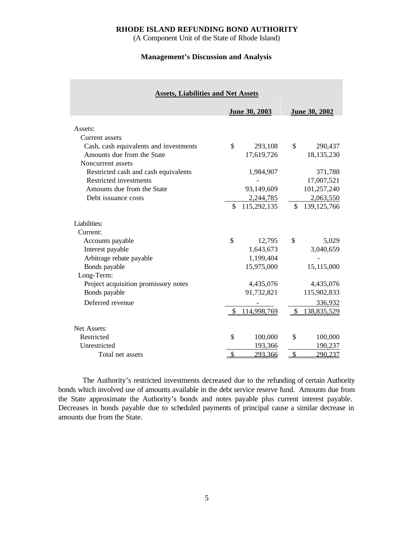(A Component Unit of the State of Rhode Island)

## **Management's Discussion and Analysis**

| <b>Assets, Liabilities and Net Assets</b> |               |               |               |               |
|-------------------------------------------|---------------|---------------|---------------|---------------|
|                                           |               | June 30, 2003 |               | June 30, 2002 |
| Assets:                                   |               |               |               |               |
| Current assets                            |               |               |               |               |
| Cash, cash equivalents and investments    | \$            | 293,108       | \$            | 290,437       |
| Amounts due from the State                |               | 17,619,726    |               | 18,135,230    |
| Noncurrent assets                         |               |               |               |               |
| Restricted cash and cash equivalents      |               | 1,984,907     |               | 371,788       |
| Restricted investments                    |               |               |               | 17,007,521    |
| Amounts due from the State                |               | 93,149,609    |               | 101,257,240   |
| Debt issuance costs                       |               | 2,244,785     |               | 2,063,550     |
|                                           | \$            | 115,292,135   | \$            | 139, 125, 766 |
| Liabilities:                              |               |               |               |               |
| Current:                                  |               |               |               |               |
| Accounts payable                          | \$            | 12,795        | \$            | 5,029         |
| Interest payable                          |               | 1,643,673     |               | 3,040,659     |
| Arbitrage rebate payable                  |               | 1,199,404     |               |               |
| Bonds payable                             |               | 15,975,000    |               | 15,115,000    |
| Long-Term:                                |               |               |               |               |
| Project acquisition promissory notes      |               | 4,435,076     |               | 4,435,076     |
| Bonds payable                             |               | 91,732,821    |               | 115,902,833   |
| Deferred revenue                          |               |               |               | 336,932       |
|                                           | \$            | 114,998,769   | $\mathbb{S}$  | 138,835,529   |
| Net Assets:                               |               |               |               |               |
| Restricted                                | \$            | 100,000       | \$            | 100,000       |
| Unrestricted                              |               | 193,366       |               | 190,237       |
| Total net assets                          | $\mathcal{S}$ | 293,366       | $\mathcal{S}$ | 290,237       |

The Authority's restricted investments decreased due to the refunding of certain Authority bonds which involved use of amounts available in the debt service reserve fund. Amounts due from the State approximate the Authority's bonds and notes payable plus current interest payable. Decreases in bonds payable due to scheduled payments of principal cause a similar decrease in amounts due from the State.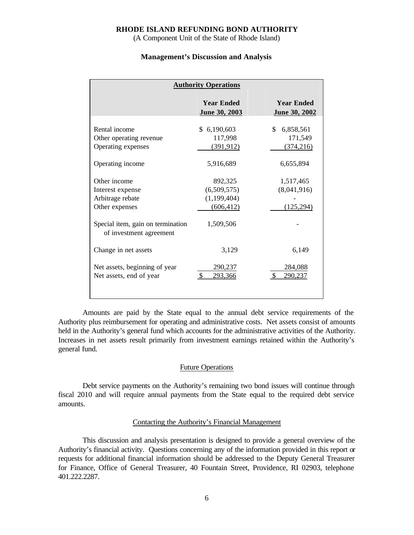(A Component Unit of the State of Rhode Island)

#### **Management's Discussion and Analysis**

| <b>Authority Operations</b>                                            |                                                     |                                           |  |  |  |  |  |  |  |
|------------------------------------------------------------------------|-----------------------------------------------------|-------------------------------------------|--|--|--|--|--|--|--|
|                                                                        | <b>Year Ended</b><br>June 30, 2003                  | <b>Year Ended</b><br><b>June 30, 2002</b> |  |  |  |  |  |  |  |
| Rental income<br>Other operating revenue<br>Operating expenses         | \$6,190,603<br>117,998<br>(391, 912)                | \$.<br>6,858,561<br>171,549<br>(374, 216) |  |  |  |  |  |  |  |
| Operating income                                                       | 5,916,689                                           | 6,655,894                                 |  |  |  |  |  |  |  |
| Other income<br>Interest expense<br>Arbitrage rebate<br>Other expenses | 892,325<br>(6,509,575)<br>(1,199,404)<br>(606, 412) | 1,517,465<br>(8,041,916)<br>(125, 294)    |  |  |  |  |  |  |  |
| Special item, gain on termination<br>of investment agreement           | 1,509,506                                           |                                           |  |  |  |  |  |  |  |
| Change in net assets                                                   | 3,129                                               | 6,149                                     |  |  |  |  |  |  |  |
| Net assets, beginning of year<br>Net assets, end of year               | 290,237<br>293,366                                  | 284,088<br>290.237                        |  |  |  |  |  |  |  |

Amounts are paid by the State equal to the annual debt service requirements of the Authority plus reimbursement for operating and administrative costs. Net assets consist of amounts held in the Authority's general fund which accounts for the administrative activities of the Authority. Increases in net assets result primarily from investment earnings retained within the Authority's general fund.

### Future Operations

Debt service payments on the Authority's remaining two bond issues will continue through fiscal 2010 and will require annual payments from the State equal to the required debt service amounts.

#### Contacting the Authority's Financial Management

This discussion and analysis presentation is designed to provide a general overview of the Authority's financial activity. Questions concerning any of the information provided in this report or requests for additional financial information should be addressed to the Deputy General Treasurer for Finance, Office of General Treasurer, 40 Fountain Street, Providence, RI 02903, telephone 401.222.2287.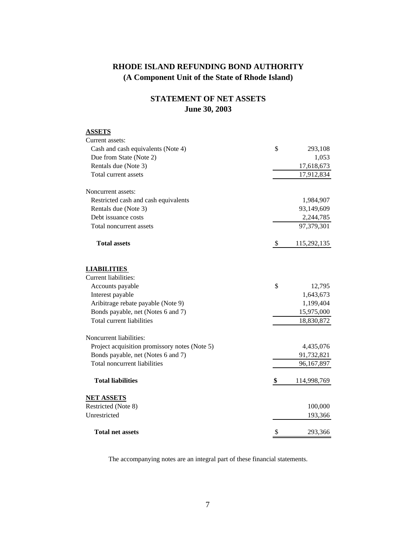## **RHODE ISLAND REFUNDING BOND AUTHORITY (A Component Unit of the State of Rhode Island)**

# **STATEMENT OF NET ASSETS June 30, 2003**

| <b>ASSETS</b>                                 |                   |
|-----------------------------------------------|-------------------|
| Current assets:                               |                   |
| Cash and cash equivalents (Note 4)            | \$<br>293,108     |
| Due from State (Note 2)                       | 1,053             |
| Rentals due (Note 3)                          | 17,618,673        |
| Total current assets                          | 17,912,834        |
| Noncurrent assets:                            |                   |
| Restricted cash and cash equivalents          | 1,984,907         |
| Rentals due (Note 3)                          | 93,149,609        |
| Debt issuance costs                           | 2,244,785         |
| Total noncurrent assets                       | 97,379,301        |
| <b>Total assets</b>                           | \$<br>115,292,135 |
| <b>LIABILITIES</b>                            |                   |
| Current liabilities:                          |                   |
| Accounts payable                              | \$<br>12,795      |
| Interest payable                              | 1,643,673         |
| Aribitrage rebate payable (Note 9)            | 1,199,404         |
| Bonds payable, net (Notes 6 and 7)            | 15,975,000        |
| <b>Total current liabilities</b>              | 18,830,872        |
| Noncurrent liabilities:                       |                   |
| Project acquisition promissory notes (Note 5) | 4,435,076         |
| Bonds payable, net (Notes 6 and 7)            | 91,732,821        |
| Total noncurrent liabilities                  | 96,167,897        |
| <b>Total liabilities</b>                      | \$<br>114,998,769 |
| <b>NET ASSETS</b>                             |                   |
| Restricted (Note 8)                           | 100,000           |
| Unrestricted                                  | 193,366           |
| <b>Total net assets</b>                       | \$<br>293,366     |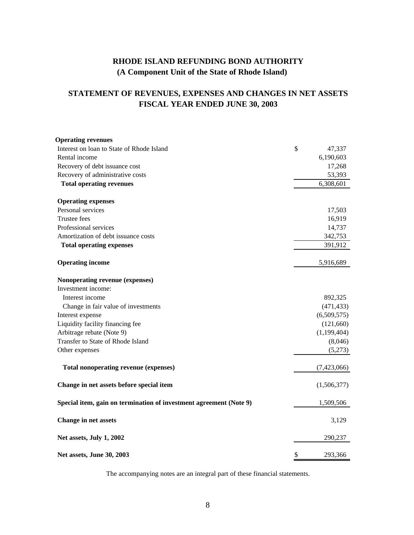# **RHODE ISLAND REFUNDING BOND AUTHORITY (A Component Unit of the State of Rhode Island)**

# **STATEMENT OF REVENUES, EXPENSES AND CHANGES IN NET ASSETS FISCAL YEAR ENDED JUNE 30, 2003**

| <b>Operating revenues</b>                                          |               |
|--------------------------------------------------------------------|---------------|
| Interest on loan to State of Rhode Island                          | \$<br>47,337  |
| Rental income                                                      | 6,190,603     |
| Recovery of debt issuance cost                                     | 17,268        |
| Recovery of administrative costs                                   | 53,393        |
| <b>Total operating revenues</b>                                    | 6,308,601     |
| <b>Operating expenses</b>                                          |               |
| Personal services                                                  | 17,503        |
| Trustee fees                                                       | 16,919        |
| Professional services                                              | 14,737        |
| Amortization of debt issuance costs                                | 342,753       |
| <b>Total operating expenses</b>                                    | 391,912       |
| <b>Operating income</b>                                            | 5,916,689     |
| Nonoperating revenue (expenses)                                    |               |
| Investment income:                                                 |               |
| Interest income                                                    | 892,325       |
| Change in fair value of investments                                | (471, 433)    |
| Interest expense                                                   | (6,509,575)   |
| Liquidity facility financing fee                                   | (121,660)     |
| Arbitrage rebate (Note 9)                                          | (1,199,404)   |
| Transfer to State of Rhode Island                                  | (8,046)       |
| Other expenses                                                     | (5,273)       |
| <b>Total nonoperating revenue (expenses)</b>                       | (7,423,066)   |
| Change in net assets before special item                           | (1,506,377)   |
| Special item, gain on termination of investment agreement (Note 9) | 1,509,506     |
| Change in net assets                                               | 3,129         |
| Net assets, July 1, 2002                                           | 290,237       |
| Net assets, June 30, 2003                                          | \$<br>293,366 |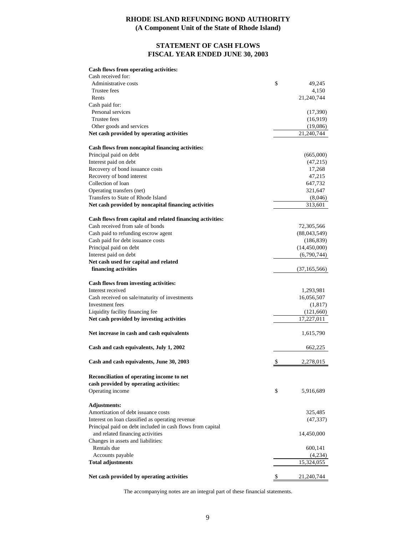## **RHODE ISLAND REFUNDING BOND AUTHORITY (A Component Unit of the State of Rhode Island)**

## **STATEMENT OF CASH FLOWS FISCAL YEAR ENDED JUNE 30, 2003**

#### **Cash flows from operating activities:**

| Cash received for:                                         |                  |
|------------------------------------------------------------|------------------|
| Administrative costs                                       | \$<br>49,245     |
| Trustee fees                                               | 4,150            |
| Rents                                                      | 21,240,744       |
| Cash paid for:                                             |                  |
| Personal services                                          | (17,390)         |
| Trustee fees                                               | (16,919)         |
| Other goods and services                                   | (19,086)         |
| Net cash provided by operating activities                  | 21,240,744       |
| Cash flows from noncapital financing activities:           |                  |
| Principal paid on debt                                     | (665,000)        |
| Interest paid on debt                                      | (47,215)         |
| Recovery of bond issuance costs                            | 17,268           |
| Recovery of bond interest                                  | 47,215           |
| Collection of loan                                         | 647,732          |
| Operating transfers (net)                                  | 321,647          |
| Transfers to State of Rhode Island                         | (8,046)          |
| Net cash provided by noncapital financing activities       | 313,601          |
| Cash flows from capital and related financing activities:  |                  |
| Cash received from sale of bonds                           | 72,305,566       |
| Cash paid to refunding escrow agent                        | (88,043,549)     |
| Cash paid for debt issuance costs                          | (186, 839)       |
| Principal paid on debt                                     | (14, 450, 000)   |
| Interest paid on debt                                      | (6,790,744)      |
| Net cash used for capital and related                      |                  |
| financing activities                                       | (37, 165, 566)   |
| Cash flows from investing activities:                      |                  |
| Interest received                                          | 1,293,981        |
| Cash received on sale/maturity of investments              | 16,056,507       |
| Investment fees                                            | (1, 817)         |
| Liquidity facility financing fee                           | (121,660)        |
| Net cash provided by investing activities                  | 17,227,011       |
| Net increase in cash and cash equivalents                  | 1,615,790        |
| Cash and cash equivalents, July 1, 2002                    | 662,225          |
| Cash and cash equivalents, June 30, 2003                   | \$<br>2,278,015  |
| Reconciliation of operating income to net                  |                  |
| cash provided by operating activities:                     |                  |
| Operating income                                           | \$<br>5,916,689  |
| <b>Adjustments:</b>                                        |                  |
| Amortization of debt issuance costs                        | 325,485          |
| Interest on loan classified as operating revenue           | (47, 337)        |
| Principal paid on debt included in cash flows from capital |                  |
| and related financing activities                           | 14,450,000       |
| Changes in assets and liabilities:                         |                  |
| Rentals due                                                | 600,141          |
| Accounts payable                                           | (4,234)          |
| <b>Total adjustments</b>                                   | 15,324,055       |
| Net cash provided by operating activities                  | \$<br>21,240,744 |
|                                                            |                  |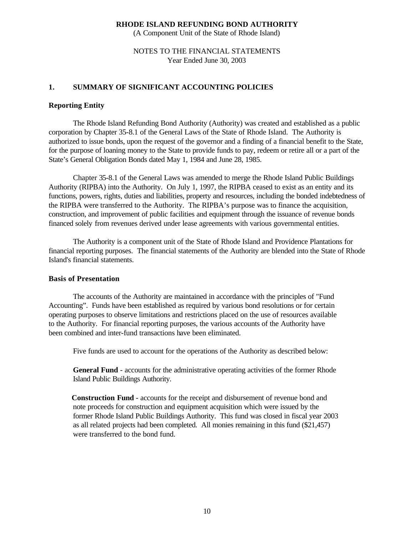(A Component Unit of the State of Rhode Island)

## NOTES TO THE FINANCIAL STATEMENTS Year Ended June 30, 2003

## **1. SUMMARY OF SIGNIFICANT ACCOUNTING POLICIES**

## **Reporting Entity**

The Rhode Island Refunding Bond Authority (Authority) was created and established as a public corporation by Chapter 35-8.1 of the General Laws of the State of Rhode Island. The Authority is authorized to issue bonds, upon the request of the governor and a finding of a financial benefit to the State, for the purpose of loaning money to the State to provide funds to pay, redeem or retire all or a part of the State's General Obligation Bonds dated May 1, 1984 and June 28, 1985.

Chapter 35-8.1 of the General Laws was amended to merge the Rhode Island Public Buildings Authority (RIPBA) into the Authority. On July 1, 1997, the RIPBA ceased to exist as an entity and its functions, powers, rights, duties and liabilities, property and resources, including the bonded indebtedness of the RIPBA were transferred to the Authority. The RIPBA's purpose was to finance the acquisition, construction, and improvement of public facilities and equipment through the issuance of revenue bonds financed solely from revenues derived under lease agreements with various governmental entities.

The Authority is a component unit of the State of Rhode Island and Providence Plantations for financial reporting purposes. The financial statements of the Authority are blended into the State of Rhode Island's financial statements.

## **Basis of Presentation**

The accounts of the Authority are maintained in accordance with the principles of "Fund Accounting". Funds have been established as required by various bond resolutions or for certain operating purposes to observe limitations and restrictions placed on the use of resources available to the Authority. For financial reporting purposes, the various accounts of the Authority have been combined and inter-fund transactions have been eliminated.

Five funds are used to account for the operations of the Authority as described below:

**General Fund** - accounts for the administrative operating activities of the former Rhode Island Public Buildings Authority.

 **Construction Fund** - accounts for the receipt and disbursement of revenue bond and note proceeds for construction and equipment acquisition which were issued by the former Rhode Island Public Buildings Authority. This fund was closed in fiscal year 2003 as all related projects had been completed. All monies remaining in this fund (\$21,457) were transferred to the bond fund.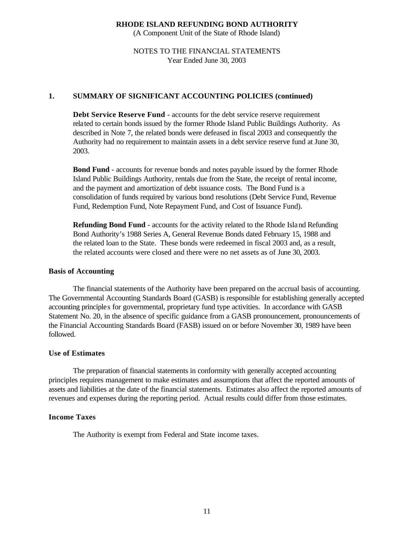(A Component Unit of the State of Rhode Island)

## NOTES TO THE FINANCIAL STATEMENTS Year Ended June 30, 2003

## **1. SUMMARY OF SIGNIFICANT ACCOUNTING POLICIES (continued)**

**Debt Service Reserve Fund** - accounts for the debt service reserve requirement related to certain bonds issued by the former Rhode Island Public Buildings Authority. As described in Note 7, the related bonds were defeased in fiscal 2003 and consequently the Authority had no requirement to maintain assets in a debt service reserve fund at June 30, 2003.

**Bond Fund** - accounts for revenue bonds and notes payable issued by the former Rhode Island Public Buildings Authority, rentals due from the State, the receipt of rental income, and the payment and amortization of debt issuance costs. The Bond Fund is a consolidation of funds required by various bond resolutions (Debt Service Fund, Revenue Fund, Redemption Fund, Note Repayment Fund, and Cost of Issuance Fund).

**Refunding Bond Fund** - accounts for the activity related to the Rhode Island Refunding Bond Authority's 1988 Series A, General Revenue Bonds dated February 15, 1988 and the related loan to the State. These bonds were redeemed in fiscal 2003 and, as a result, the related accounts were closed and there were no net assets as of June 30, 2003.

#### **Basis of Accounting**

The financial statements of the Authority have been prepared on the accrual basis of accounting. The Governmental Accounting Standards Board (GASB) is responsible for establishing generally accepted accounting principles for governmental, proprietary fund type activities. In accordance with GASB Statement No. 20, in the absence of specific guidance from a GASB pronouncement, pronouncements of the Financial Accounting Standards Board (FASB) issued on or before November 30, 1989 have been followed.

#### **Use of Estimates**

The preparation of financial statements in conformity with generally accepted accounting principles requires management to make estimates and assumptions that affect the reported amounts of assets and liabilities at the date of the financial statements. Estimates also affect the reported amounts of revenues and expenses during the reporting period. Actual results could differ from those estimates.

## **Income Taxes**

The Authority is exempt from Federal and State income taxes.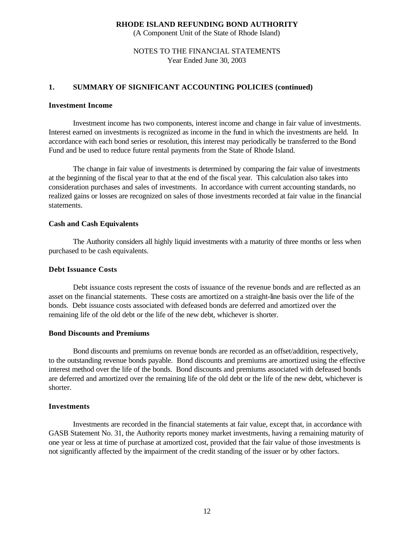(A Component Unit of the State of Rhode Island)

## NOTES TO THE FINANCIAL STATEMENTS Year Ended June 30, 2003

## **1. SUMMARY OF SIGNIFICANT ACCOUNTING POLICIES (continued)**

#### **Investment Income**

Investment income has two components, interest income and change in fair value of investments. Interest earned on investments is recognized as income in the fund in which the investments are held. In accordance with each bond series or resolution, this interest may periodically be transferred to the Bond Fund and be used to reduce future rental payments from the State of Rhode Island.

The change in fair value of investments is determined by comparing the fair value of investments at the beginning of the fiscal year to that at the end of the fiscal year. This calculation also takes into consideration purchases and sales of investments. In accordance with current accounting standards, no realized gains or losses are recognized on sales of those investments recorded at fair value in the financial statements.

## **Cash and Cash Equivalents**

The Authority considers all highly liquid investments with a maturity of three months or less when purchased to be cash equivalents.

## **Debt Issuance Costs**

Debt issuance costs represent the costs of issuance of the revenue bonds and are reflected as an asset on the financial statements. These costs are amortized on a straight-line basis over the life of the bonds. Debt issuance costs associated with defeased bonds are deferred and amortized over the remaining life of the old debt or the life of the new debt, whichever is shorter.

## **Bond Discounts and Premiums**

Bond discounts and premiums on revenue bonds are recorded as an offset/addition, respectively, to the outstanding revenue bonds payable. Bond discounts and premiums are amortized using the effective interest method over the life of the bonds. Bond discounts and premiums associated with defeased bonds are deferred and amortized over the remaining life of the old debt or the life of the new debt, whichever is shorter.

## **Investments**

Investments are recorded in the financial statements at fair value, except that, in accordance with GASB Statement No. 31, the Authority reports money market investments, having a remaining maturity of one year or less at time of purchase at amortized cost, provided that the fair value of those investments is not significantly affected by the impairment of the credit standing of the issuer or by other factors.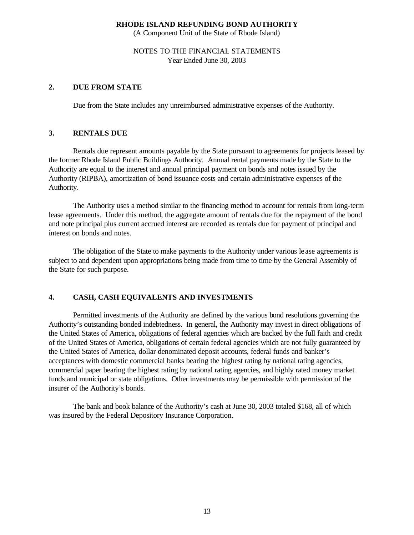(A Component Unit of the State of Rhode Island)

## NOTES TO THE FINANCIAL STATEMENTS Year Ended June 30, 2003

## **2. DUE FROM STATE**

Due from the State includes any unreimbursed administrative expenses of the Authority.

## **3. RENTALS DUE**

Rentals due represent amounts payable by the State pursuant to agreements for projects leased by the former Rhode Island Public Buildings Authority. Annual rental payments made by the State to the Authority are equal to the interest and annual principal payment on bonds and notes issued by the Authority (RIPBA), amortization of bond issuance costs and certain administrative expenses of the Authority.

The Authority uses a method similar to the financing method to account for rentals from long-term lease agreements. Under this method, the aggregate amount of rentals due for the repayment of the bond and note principal plus current accrued interest are recorded as rentals due for payment of principal and interest on bonds and notes.

The obligation of the State to make payments to the Authority under various le ase agreements is subject to and dependent upon appropriations being made from time to time by the General Assembly of the State for such purpose.

## **4. CASH, CASH EQUIVALENTS AND INVESTMENTS**

Permitted investments of the Authority are defined by the various bond resolutions governing the Authority's outstanding bonded indebtedness. In general, the Authority may invest in direct obligations of the United States of America, obligations of federal agencies which are backed by the full faith and credit of the United States of America, obligations of certain federal agencies which are not fully guaranteed by the United States of America, dollar denominated deposit accounts, federal funds and banker's acceptances with domestic commercial banks bearing the highest rating by national rating agencies, commercial paper bearing the highest rating by national rating agencies, and highly rated money market funds and municipal or state obligations. Other investments may be permissible with permission of the insurer of the Authority's bonds.

The bank and book balance of the Authority's cash at June 30, 2003 totaled \$168, all of which was insured by the Federal Depository Insurance Corporation.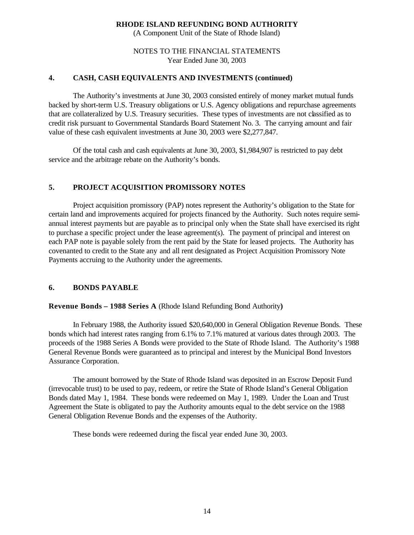(A Component Unit of the State of Rhode Island)

## NOTES TO THE FINANCIAL STATEMENTS Year Ended June 30, 2003

## **4. CASH, CASH EQUIVALENTS AND INVESTMENTS (continued)**

The Authority's investments at June 30, 2003 consisted entirely of money market mutual funds backed by short-term U.S. Treasury obligations or U.S. Agency obligations and repurchase agreements that are collateralized by U.S. Treasury securities. These types of investments are not classified as to credit risk pursuant to Governmental Standards Board Statement No. 3. The carrying amount and fair value of these cash equivalent investments at June 30, 2003 were \$2,277,847.

Of the total cash and cash equivalents at June 30, 2003, \$1,984,907 is restricted to pay debt service and the arbitrage rebate on the Authority's bonds.

## **5. PROJECT ACQUISITION PROMISSORY NOTES**

 Project acquisition promissory (PAP) notes represent the Authority's obligation to the State for certain land and improvements acquired for projects financed by the Authority. Such notes require semiannual interest payments but are payable as to principal only when the State shall have exercised its right to purchase a specific project under the lease agreement(s). The payment of principal and interest on each PAP note is payable solely from the rent paid by the State for leased projects. The Authority has covenanted to credit to the State any and all rent designated as Project Acquisition Promissory Note Payments accruing to the Authority under the agreements.

## **6. BONDS PAYABLE**

## **Revenue Bonds – 1988 Series A** (Rhode Island Refunding Bond Authority**)**

In February 1988, the Authority issued \$20,640,000 in General Obligation Revenue Bonds. These bonds which had interest rates ranging from 6.1% to 7.1% matured at various dates through 2003. The proceeds of the 1988 Series A Bonds were provided to the State of Rhode Island. The Authority's 1988 General Revenue Bonds were guaranteed as to principal and interest by the Municipal Bond Investors Assurance Corporation.

The amount borrowed by the State of Rhode Island was deposited in an Escrow Deposit Fund (irrevocable trust) to be used to pay, redeem, or retire the State of Rhode Island's General Obligation Bonds dated May 1, 1984. These bonds were redeemed on May 1, 1989. Under the Loan and Trust Agreement the State is obligated to pay the Authority amounts equal to the debt service on the 1988 General Obligation Revenue Bonds and the expenses of the Authority.

These bonds were redeemed during the fiscal year ended June 30, 2003.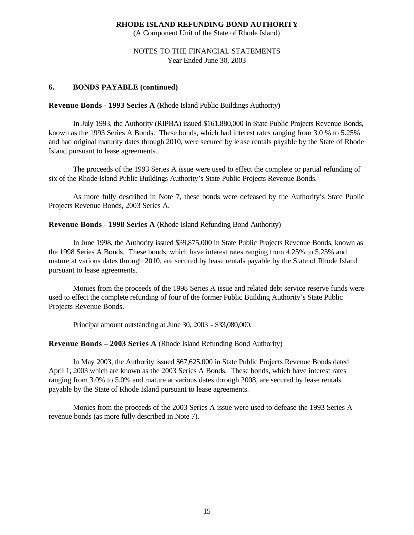(A Component Unit of the State of Rhode Island)

## NOTES TO THE FINANCIAL STATEMENTS Year Ended June 30, 2003

### **6. BONDS PAYABLE (continued)**

#### **Revenue Bonds - 1993 Series A** (Rhode Island Public Buildings Authority**)**

In July 1993, the Authority (RIPBA) issued \$161,880,000 in State Public Projects Revenue Bonds, known as the 1993 Series A Bonds. These bonds, which had interest rates ranging from 3.0 % to 5.25% and had original maturity dates through 2010, were secured by le ase rentals payable by the State of Rhode Island pursuant to lease agreements.

The proceeds of the 1993 Series A issue were used to effect the complete or partial refunding of six of the Rhode Island Public Buildings Authority's State Public Projects Revenue Bonds.

As more fully described in Note 7, these bonds were defeased by the Authority's State Public Projects Revenue Bonds, 2003 Series A.

### **Revenue Bonds - 1998 Series A** (Rhode Island Refunding Bond Authority)

In June 1998, the Authority issued \$39,875,000 in State Public Projects Revenue Bonds, known as the 1998 Series A Bonds. These bonds, which have interest rates ranging from 4.25% to 5.25% and mature at various dates through 2010, are secured by lease rentals payable by the State of Rhode Island pursuant to lease agreements.

Monies from the proceeds of the 1998 Series A issue and related debt service reserve funds were used to effect the complete refunding of four of the former Public Building Authority's State Public Projects Revenue Bonds.

Principal amount outstanding at June 30, 2003 - \$33,080,000.

## **Revenue Bonds – 2003 Series A** (Rhode Island Refunding Bond Authority)

In May 2003, the Authority issued \$67,625,000 in State Public Projects Revenue Bonds dated April 1, 2003 which are known as the 2003 Series A Bonds. These bonds, which have interest rates ranging from 3.0% to 5.0% and mature at various dates through 2008, are secured by lease rentals payable by the State of Rhode Island pursuant to lease agreements.

Monies from the proceeds of the 2003 Series A issue were used to defease the 1993 Series A revenue bonds (as more fully described in Note 7).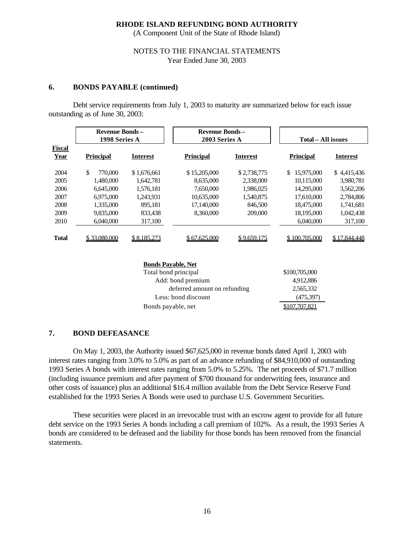(A Component Unit of the State of Rhode Island)

### NOTES TO THE FINANCIAL STATEMENTS Year Ended June 30, 2003

#### **6. BONDS PAYABLE (continued)**

Debt service requirements from July 1, 2003 to maturity are summarized below for each issue outstanding as of June 30, 2003:

|                           | <b>Revenue Bonds-</b><br>1998 Series A |                 | <b>Revenue Bonds-</b><br>2003 Series A |                 | Total – All issues |                 |  |  |  |  |  |
|---------------------------|----------------------------------------|-----------------|----------------------------------------|-----------------|--------------------|-----------------|--|--|--|--|--|
| Fiscal<br><b>Year</b>     | <b>Principal</b>                       | <b>Interest</b> | <b>Principal</b>                       | <b>Interest</b> | <b>Principal</b>   | <b>Interest</b> |  |  |  |  |  |
| 2004                      | \$<br>770,000                          | \$1,676,661     | \$15,205,000                           | \$2,738,775     | 15,975,000<br>\$.  | \$4,415,436     |  |  |  |  |  |
| 2005                      | 1,480,000                              | 1.642.781       | 8,635,000                              | 2,338,000       | 10,115,000         | 3,980,781       |  |  |  |  |  |
| 2006                      | 6,645,000                              | 1,576,181       | 7,650,000                              | 1,986,025       | 14,295,000         | 3,562,206       |  |  |  |  |  |
| 2007                      | 6,975,000                              | 1,243,931       | 10,635,000                             | 1,540,875       | 17,610,000         | 2,784,806       |  |  |  |  |  |
| 2008                      | 1,335,000                              | 895.181         | 17,140,000                             | 846,500         | 18,475,000         | 1,741,681       |  |  |  |  |  |
| 2009                      | 9,835,000                              | 833,438         | 8,360,000                              | 209,000         | 18,195,000         | 1,042,438       |  |  |  |  |  |
| 2010                      | 6,040,000                              | 317,100         |                                        |                 | 6,040,000          | 317,100         |  |  |  |  |  |
| <b>Total</b>              | \$33,080,000                           | \$8,185,273     | \$67.625.000                           | \$9,659,175     | \$100,705,000      | \$17.844.448    |  |  |  |  |  |
| <b>Bonds Pavable, Net</b> |                                        |                 |                                        |                 |                    |                 |  |  |  |  |  |

| DUIIUS I AVADIC, INCL        |               |
|------------------------------|---------------|
| Total bond principal         | \$100,705,000 |
| Add: bond premium            | 4,912,886     |
| deferred amount on refunding | 2,565,332     |
| Less: bond discount          | (475, 397)    |
| Bonds payable, net           |               |

#### **7. BOND DEFEASANCE**

On May 1, 2003, the Authority issued \$67,625,000 in revenue bonds dated April 1, 2003 with interest rates ranging from 3.0% to 5.0% as part of an advance refunding of \$84,910,000 of outstanding 1993 Series A bonds with interest rates ranging from 5.0% to 5.25%. The net proceeds of \$71.7 million (including issuance premium and after payment of \$700 thousand for underwriting fees, insurance and other costs of issuance) plus an additional \$16.4 million available from the Debt Service Reserve Fund established for the 1993 Series A Bonds were used to purchase U.S. Government Securities.

These securities were placed in an irrevocable trust with an escrow agent to provide for all future debt service on the 1993 Series A bonds including a call premium of 102%. As a result, the 1993 Series A bonds are considered to be defeased and the liability for those bonds has been removed from the financial statements.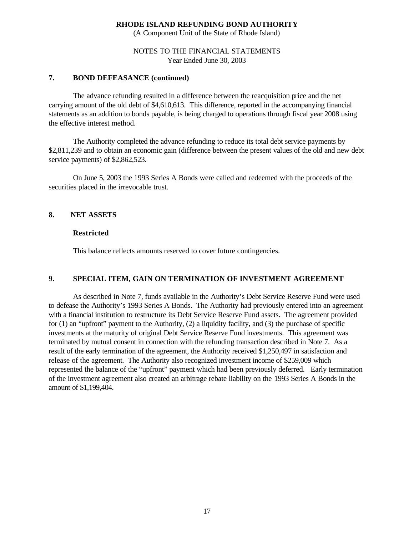(A Component Unit of the State of Rhode Island)

## NOTES TO THE FINANCIAL STATEMENTS Year Ended June 30, 2003

## **7. BOND DEFEASANCE (continued)**

The advance refunding resulted in a difference between the reacquisition price and the net carrying amount of the old debt of \$4,610,613. This difference, reported in the accompanying financial statements as an addition to bonds payable, is being charged to operations through fiscal year 2008 using the effective interest method.

The Authority completed the advance refunding to reduce its total debt service payments by \$2,811,239 and to obtain an economic gain (difference between the present values of the old and new debt service payments) of \$2,862,523.

On June 5, 2003 the 1993 Series A Bonds were called and redeemed with the proceeds of the securities placed in the irrevocable trust.

## **8. NET ASSETS**

### **Restricted**

This balance reflects amounts reserved to cover future contingencies.

## **9. SPECIAL ITEM, GAIN ON TERMINATION OF INVESTMENT AGREEMENT**

As described in Note 7, funds available in the Authority's Debt Service Reserve Fund were used to defease the Authority's 1993 Series A Bonds. The Authority had previously entered into an agreement with a financial institution to restructure its Debt Service Reserve Fund assets. The agreement provided for (1) an "upfront" payment to the Authority, (2) a liquidity facility, and (3) the purchase of specific investments at the maturity of original Debt Service Reserve Fund investments. This agreement was terminated by mutual consent in connection with the refunding transaction described in Note 7. As a result of the early termination of the agreement, the Authority received \$1,250,497 in satisfaction and release of the agreement. The Authority also recognized investment income of \$259,009 which represented the balance of the "upfront" payment which had been previously deferred. Early termination of the investment agreement also created an arbitrage rebate liability on the 1993 Series A Bonds in the amount of \$1,199,404.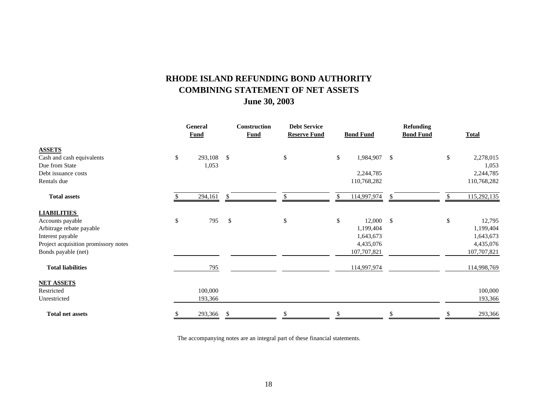# **RHODE ISLAND REFUNDING BOND AUTHORITY COMBINING STATEMENT OF NET ASSETS June 30, 2003**

|                                      | General<br><b>Fund</b> | Construction<br><b>Fund</b> | <b>Debt Service</b><br><b>Reserve Fund</b> |      | <b>Bond Fund</b> | <b>Refunding</b><br><b>Bond Fund</b> | <b>Total</b>      |
|--------------------------------------|------------------------|-----------------------------|--------------------------------------------|------|------------------|--------------------------------------|-------------------|
| <b>ASSETS</b>                        |                        |                             |                                            |      |                  |                                      |                   |
| Cash and cash equivalents            | \$<br>293,108 \$       |                             | \$                                         | \$   | 1,984,907        | $\mathcal{S}$                        | \$<br>2,278,015   |
| Due from State                       | 1,053                  |                             |                                            |      |                  |                                      | 1,053             |
| Debt issuance costs                  |                        |                             |                                            |      | 2,244,785        |                                      | 2,244,785         |
| Rentals due                          |                        |                             |                                            |      | 110,768,282      |                                      | 110,768,282       |
| <b>Total assets</b>                  | 294,161                | -\$                         | \$                                         | \$   | 114,997,974      | S.                                   | \$<br>115,292,135 |
| <b>LIABILITIES</b>                   |                        |                             |                                            |      |                  |                                      |                   |
| Accounts payable                     | \$<br>795              | $\mathbb{S}$                | \$                                         | $\$$ | 12,000           | $\mathcal{S}$                        | \$<br>12,795      |
| Arbitrage rebate payable             |                        |                             |                                            |      | 1,199,404        |                                      | 1,199,404         |
| Interest payable                     |                        |                             |                                            |      | 1,643,673        |                                      | 1,643,673         |
| Project acquisition promissory notes |                        |                             |                                            |      | 4,435,076        |                                      | 4,435,076         |
| Bonds payable (net)                  |                        |                             |                                            |      | 107,707,821      |                                      | 107,707,821       |
| <b>Total liabilities</b>             | 795                    |                             |                                            |      | 114,997,974      |                                      | 114,998,769       |
| <b>NET ASSETS</b>                    |                        |                             |                                            |      |                  |                                      |                   |
| Restricted                           | 100,000                |                             |                                            |      |                  |                                      | 100,000           |
| Unrestricted                         | 193,366                |                             |                                            |      |                  |                                      | 193,366           |
| <b>Total net assets</b>              | 293,366                |                             |                                            |      |                  |                                      | 293,366           |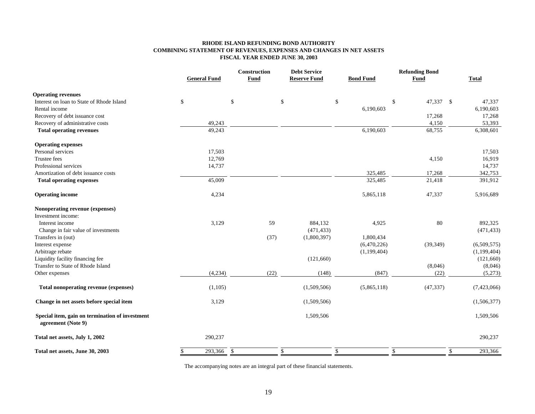#### **RHODE ISLAND REFUNDING BOND AUTHORITY COMBINING STATEMENT OF REVENUES, EXPENSES AND CHANGES IN NET ASSETS FISCAL YEAR ENDED JUNE 30, 2003**

|                                                                       |                     | <b>Construction</b> | <b>Debt Service</b> |                  | <b>Refunding Bond</b>        |              |  |
|-----------------------------------------------------------------------|---------------------|---------------------|---------------------|------------------|------------------------------|--------------|--|
|                                                                       | <b>General Fund</b> | Fund                | <b>Reserve Fund</b> | <b>Bond Fund</b> | Fund                         | <b>Total</b> |  |
| <b>Operating revenues</b>                                             |                     |                     |                     |                  |                              |              |  |
| Interest on loan to State of Rhode Island                             | \$                  | \$                  | \$<br>\$            |                  | \$<br>47,337 \$              | 47,337       |  |
| Rental income                                                         |                     |                     |                     | 6,190,603        |                              | 6,190,603    |  |
| Recovery of debt issuance cost                                        |                     |                     |                     |                  | 17,268                       | 17,268       |  |
| Recovery of administrative costs                                      | 49,243              |                     |                     |                  | 4,150                        | 53,393       |  |
| <b>Total operating revenues</b>                                       | 49,243              |                     |                     | 6,190,603        | 68,755                       | 6,308,601    |  |
| <b>Operating expenses</b>                                             |                     |                     |                     |                  |                              |              |  |
| Personal services                                                     | 17,503              |                     |                     |                  |                              | 17,503       |  |
| Trustee fees                                                          | 12,769              |                     |                     |                  | 4,150                        | 16,919       |  |
| Professional services                                                 | 14,737              |                     |                     |                  |                              | 14,737       |  |
| Amortization of debt issuance costs                                   |                     |                     |                     | 325,485          | 17,268                       | 342,753      |  |
| <b>Total operating expenses</b>                                       | 45,009              |                     |                     | 325,485          | 21,418                       | 391,912      |  |
| <b>Operating income</b>                                               | 4,234               |                     |                     | 5,865,118        | 47,337                       | 5,916,689    |  |
| Nonoperating revenue (expenses)                                       |                     |                     |                     |                  |                              |              |  |
| Investment income:                                                    |                     |                     |                     |                  |                              |              |  |
| Interest income                                                       | 3,129               | 59                  | 884,132             | 4,925            | 80                           | 892,325      |  |
| Change in fair value of investments                                   |                     |                     | (471, 433)          |                  |                              | (471, 433)   |  |
| Transfers in (out)                                                    |                     | (37)                | (1,800,397)         | 1,800,434        |                              |              |  |
| Interest expense                                                      |                     |                     |                     | (6,470,226)      | (39, 349)                    | (6,509,575)  |  |
| Arbitrage rebate                                                      |                     |                     |                     | (1,199,404)      |                              | (1,199,404)  |  |
| Liquidity facility financing fee                                      |                     |                     | (121,660)           |                  |                              | (121,660)    |  |
| Transfer to State of Rhode Island                                     |                     |                     |                     |                  | (8,046)                      | (8,046)      |  |
| Other expenses                                                        | (4,234)             | (22)                | (148)               | (847)            | (22)                         | (5,273)      |  |
| Total nonoperating revenue (expenses)                                 | (1,105)             |                     | (1,509,506)         | (5,865,118)      | (47, 337)                    | (7,423,066)  |  |
| Change in net assets before special item                              | 3,129               |                     | (1,509,506)         |                  |                              | (1,506,377)  |  |
| Special item, gain on termination of investment<br>agreement (Note 9) |                     |                     | 1,509,506           |                  |                              | 1,509,506    |  |
| Total net assets, July 1, 2002                                        | 290,237             |                     |                     |                  |                              | 290,237      |  |
| Total net assets, June 30, 2003                                       | 293,366             | $\mathbb{S}$        | \$<br>\$            |                  | $\mathbb{S}$<br>$\mathbb{S}$ | 293,366      |  |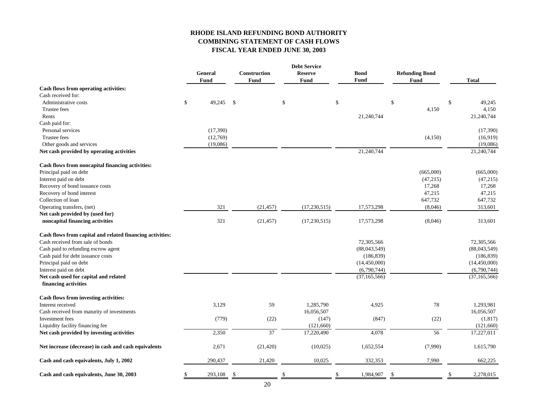## **RHODE ISLAND REFUNDING BOND AUTHORITY COMBINING STATEMENT OF CASH FLOWS FISCAL YEAR ENDED JUNE 30, 2003**

|                                                           | <b>Debt Service</b> |      |                 |    |                |    |                |                       |                 |
|-----------------------------------------------------------|---------------------|------|-----------------|----|----------------|----|----------------|-----------------------|-----------------|
|                                                           | General             |      | Construction    |    | <b>Reserve</b> |    | <b>Bond</b>    | <b>Refunding Bond</b> |                 |
|                                                           | Fund                |      | Fund            |    | Fund           |    | Fund           | <b>Fund</b>           | <b>Total</b>    |
| Cash flows from operating activities:                     |                     |      |                 |    |                |    |                |                       |                 |
| Cash received for:                                        |                     |      |                 |    |                |    |                |                       |                 |
| Administrative costs                                      | \$<br>49,245        | - \$ |                 | \$ |                | \$ |                | \$                    | \$<br>49,245    |
| Trustee fees                                              |                     |      |                 |    |                |    |                | 4,150                 | 4,150           |
| Rents                                                     |                     |      |                 |    |                |    | 21,240,744     |                       | 21,240,744      |
| Cash paid for:                                            |                     |      |                 |    |                |    |                |                       |                 |
| Personal services                                         | (17, 390)           |      |                 |    |                |    |                |                       | (17,390)        |
| Trustee fees                                              | (12,769)            |      |                 |    |                |    |                | (4, 150)              | (16,919)        |
| Other goods and services                                  | (19,086)            |      |                 |    |                |    |                |                       | (19,086)        |
| Net cash provided by operating activities                 |                     |      |                 |    |                |    | 21,240,744     |                       | 21,240,744      |
| Cash flows from noncapital financing activities:          |                     |      |                 |    |                |    |                |                       |                 |
| Principal paid on debt                                    |                     |      |                 |    |                |    |                | (665,000)             | (665,000)       |
| Interest paid on debt                                     |                     |      |                 |    |                |    |                | (47,215)              | (47,215)        |
| Recovery of bond issuance costs                           |                     |      |                 |    |                |    |                | 17,268                | 17,268          |
| Recovery of bond interest                                 |                     |      |                 |    |                |    |                | 47,215                | 47,215          |
| Collection of loan                                        |                     |      |                 |    |                |    |                | 647,732               | 647,732         |
| Operating transfers, (net)                                | 321                 |      | (21, 457)       |    | (17,230,515)   |    | 17,573,298     | (8,046)               | 313,601         |
| Net cash provided by (used for)                           |                     |      |                 |    |                |    |                |                       |                 |
| noncapital financing activities                           | 321                 |      | (21, 457)       |    | (17,230,515)   |    | 17,573,298     | (8,046)               | 313,601         |
| Cash flows from capital and related financing activities: |                     |      |                 |    |                |    |                |                       |                 |
| Cash received from sale of bonds                          |                     |      |                 |    |                |    | 72,305,566     |                       | 72,305,566      |
| Cash paid to refunding escrow agent                       |                     |      |                 |    |                |    | (88,043,549)   |                       | (88,043,549)    |
| Cash paid for debt issuance costs                         |                     |      |                 |    |                |    | (186, 839)     |                       | (186, 839)      |
| Principal paid on debt                                    |                     |      |                 |    |                |    | (14, 450, 000) |                       | (14, 450, 000)  |
| Interest paid on debt                                     |                     |      |                 |    |                |    | (6,790,744)    |                       | (6,790,744)     |
| Net cash used for capital and related                     |                     |      |                 |    |                |    | (37, 165, 566) |                       | (37, 165, 566)  |
| financing activities                                      |                     |      |                 |    |                |    |                |                       |                 |
| Cash flows from investing activities:                     |                     |      |                 |    |                |    |                |                       |                 |
| Interest received                                         | 3,129               |      | 59              |    | 1,285,790      |    | 4,925          | 78                    | 1,293,981       |
| Cash received from maturity of investments                |                     |      |                 |    | 16,056,507     |    |                |                       | 16,056,507      |
| Investment fees                                           | (779)               |      | (22)            |    | (147)          |    | (847)          | (22)                  | (1, 817)        |
| Liquidity facility financing fee                          |                     |      |                 |    | (121,660)      |    |                |                       | (121,660)       |
| Net cash provided by investing activities                 | 2,350               |      | $\overline{37}$ |    | 17,220,490     |    | 4,078          | 56                    | 17,227,011      |
|                                                           |                     |      |                 |    |                |    |                |                       |                 |
| Net increase (decrease) in cash and cash equivalents      | 2,671               |      | (21, 420)       |    | (10,025)       |    | 1,652,554      | (7,990)               | 1,615,790       |
| Cash and cash equivalents, July 1, 2002                   | 290,437             |      | 21,420          |    | 10,025         |    | 332,353        | 7,990                 | 662,225         |
| Cash and cash equivalents, June 30, 2003                  | 293,108<br>\$       | -\$  |                 | \$ |                | \$ | 1,984,907      | \$                    | \$<br>2,278,015 |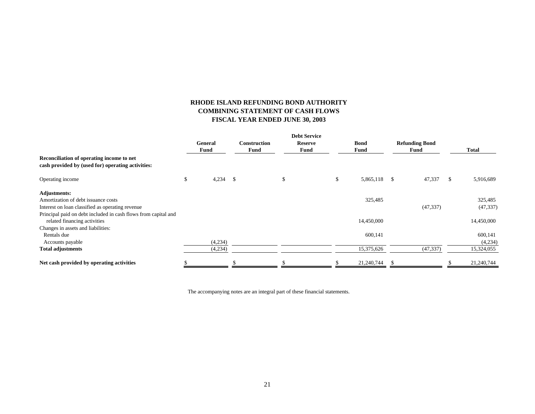## **RHODE ISLAND REFUNDING BOND AUTHORITY COMBINING STATEMENT OF CASH FLOWS FISCAL YEAR ENDED JUNE 30, 2003**

|                                                                                                |                 |      |                                    | <b>Debt Service</b>    |                            |    |                               |   |              |
|------------------------------------------------------------------------------------------------|-----------------|------|------------------------------------|------------------------|----------------------------|----|-------------------------------|---|--------------|
|                                                                                                | General<br>Fund |      | <b>Construction</b><br><b>Fund</b> | <b>Reserve</b><br>Fund | <b>Bond</b><br><b>Fund</b> |    | <b>Refunding Bond</b><br>Fund |   | <b>Total</b> |
| Reconciliation of operating income to net<br>cash provided by (used for) operating activities: |                 |      |                                    |                        |                            |    |                               |   |              |
| Operating income                                                                               | \$<br>4,234     | - \$ |                                    | \$                     | \$<br>5,865,118            | -S | 47,337                        | S | 5,916,689    |
| <b>Adjustments:</b>                                                                            |                 |      |                                    |                        |                            |    |                               |   |              |
| Amortization of debt issuance costs                                                            |                 |      |                                    |                        | 325,485                    |    |                               |   | 325,485      |
| Interest on loan classified as operating revenue                                               |                 |      |                                    |                        |                            |    | (47, 337)                     |   | (47, 337)    |
| Principal paid on debt included in cash flows from capital and<br>related financing activities |                 |      |                                    |                        | 14,450,000                 |    |                               |   | 14,450,000   |
| Changes in assets and liabilities:                                                             |                 |      |                                    |                        |                            |    |                               |   |              |
| Rentals due                                                                                    |                 |      |                                    |                        | 600,141                    |    |                               |   | 600,141      |
| Accounts payable                                                                               | (4,234)         |      |                                    |                        |                            |    |                               |   | (4,234)      |
| <b>Total adjustments</b>                                                                       | (4,234)         |      |                                    |                        | 15,375,626                 |    | (47, 337)                     |   | 15,324,055   |
| Net cash provided by operating activities                                                      |                 |      |                                    |                        | 21,240,744                 | £. |                               |   | 21,240,744   |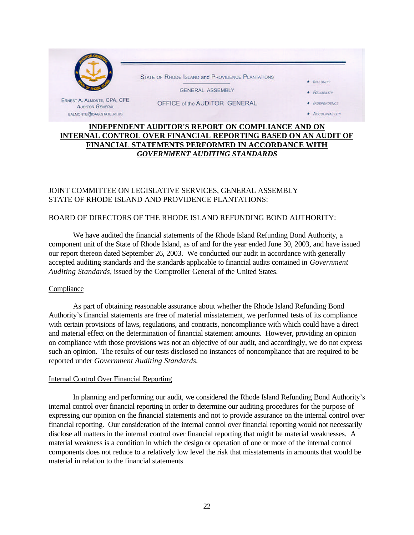

## **INDEPENDENT AUDITOR'S REPORT ON COMPLIANCE AND ON INTERNAL CONTROL OVER FINANCIAL REPORTING BASED ON AN AUDIT OF FINANCIAL STATEMENTS PERFORMED IN ACCORDANCE WITH** *GOVERNMENT AUDITING STANDARDS*

## JOINT COMMITTEE ON LEGISLATIVE SERVICES, GENERAL ASSEMBLY STATE OF RHODE ISLAND AND PROVIDENCE PLANTATIONS:

## BOARD OF DIRECTORS OF THE RHODE ISLAND REFUNDING BOND AUTHORITY:

We have audited the financial statements of the Rhode Island Refunding Bond Authority, a component unit of the State of Rhode Island, as of and for the year ended June 30, 2003, and have issued our report thereon dated September 26, 2003. We conducted our audit in accordance with generally accepted auditing standards and the standards applicable to financial audits contained in *Government Auditing Standards*, issued by the Comptroller General of the United States.

## **Compliance**

As part of obtaining reasonable assurance about whether the Rhode Island Refunding Bond Authority's financial statements are free of material misstatement, we performed tests of its compliance with certain provisions of laws, regulations, and contracts, noncompliance with which could have a direct and material effect on the determination of financial statement amounts. However, providing an opinion on compliance with those provisions was not an objective of our audit, and accordingly, we do not express such an opinion. The results of our tests disclosed no instances of noncompliance that are required to be reported under *Government Auditing Standards.*

#### Internal Control Over Financial Reporting

In planning and performing our audit, we considered the Rhode Island Refunding Bond Authority's internal control over financial reporting in order to determine our auditing procedures for the purpose of expressing our opinion on the financial statements and not to provide assurance on the internal control over financial reporting. Our consideration of the internal control over financial reporting would not necessarily disclose all matters in the internal control over financial reporting that might be material weaknesses. A material weakness is a condition in which the design or operation of one or more of the internal control components does not reduce to a relatively low level the risk that misstatements in amounts that would be material in relation to the financial statements